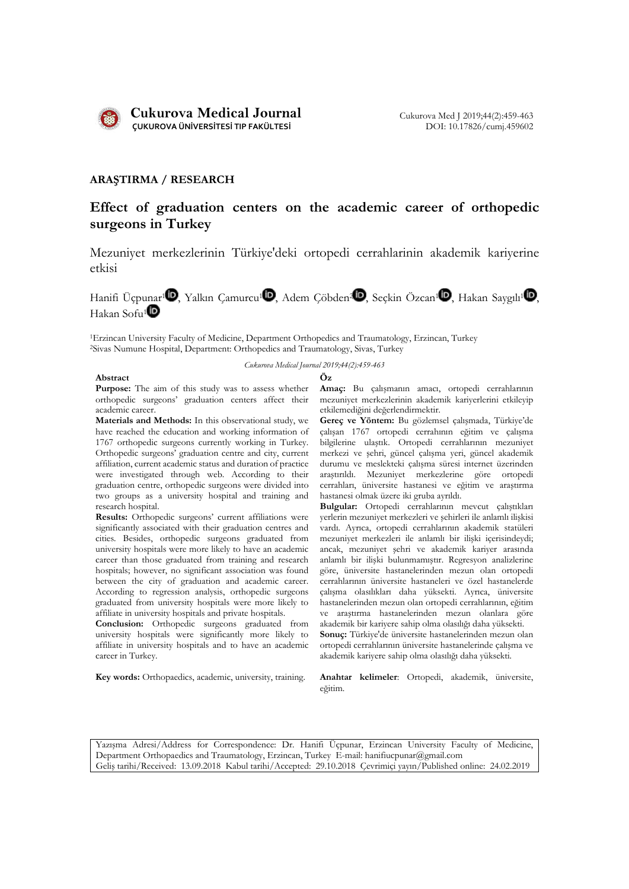

## ARAŞTIRMA / RESEARCH

# Effect of graduation centers on the academic career of orthopedic surgeons in Turkey

Mezuniyet merkezlerinin Türkiye'deki ortopedi cerrahlarinin akademik kariyerine etkisi

Hanifi Üçpunar<sup>ı (D</sup>, Yalkın Camurcu<sup>1</sup> D, Adem Çöbden<sup>2 (D</sup>, Seçkin Özcan<sup>1</sup> D, Hakan Saygılı<sup>1</sup> D, Hakan Sofu<sup>1</sup> $\blacksquare$ 

1Erzincan University Faculty of Medicine, Department Orthopedics and Traumatology, Erzincan, Turkey 2Sivas Numune Hospital, Department: Orthopedics and Traumatology, Sivas, Turkey

*Cukurova Medical Journal 2019;44(2):459-463*

#### Abstract Öz

Purpose: The aim of this study was to assess whether orthopedic surgeons' graduation centers affect their academic career.

Materials and Methods: In this observational study, we have reached the education and working information of 1767 orthopedic surgeons currently working in Turkey. Orthopedic surgeons' graduation centre and city, current affiliation, current academic status and duration of practice were investigated through web. According to their graduation centre, orthopedic surgeons were divided into two groups as a university hospital and training and research hospital.

Results: Orthopedic surgeons' current affiliations were significantly associated with their graduation centres and cities. Besides, orthopedic surgeons graduated from university hospitals were more likely to have an academic career than those graduated from training and research hospitals; however, no significant association was found between the city of graduation and academic career. According to regression analysis, orthopedic surgeons graduated from university hospitals were more likely to affiliate in university hospitals and private hospitals.

Conclusion: Orthopedic surgeons graduated from university hospitals were significantly more likely to affiliate in university hospitals and to have an academic career in Turkey.

Key words: Orthopaedics, academic, university, training. Anahtar kelimeler: Ortopedi, akademik, üniversite,

Amaç: Bu çalışmanın amacı, ortopedi cerrahlarının mezuniyet merkezlerinin akademik kariyerlerini etkileyip etkilemediğini değerlendirmektir.

Gereç ve Yöntem: Bu gözlemsel çalışmada, Türkiye'de çalışan 1767 ortopedi cerrahının eğitim ve çalışma bilgilerine ulaştık. Ortopedi cerrahlarının mezuniyet merkezi ve şehri, güncel çalışma yeri, güncel akademik durumu ve meslekteki çalışma süresi internet üzerinden araştırıldı. Mezuniyet merkezlerine göre ortopedi cerrahları, üniversite hastanesi ve eğitim ve araştırma hastanesi olmak üzere iki gruba ayrıldı.

Bulgular: Ortopedi cerrahlarının meycut çalıştıkları yerlerin mezuniyet merkezleri ve şehirleri ile anlamlı ilişkisi vardı. Ayrıca, ortopedi cerrahlarının akademik statüleri mezuniyet merkezleri ile anlamlı bir ilişki içerisindeydi; ancak, mezuniyet şehri ve akademik kariyer arasında anlamlı bir ilişki bulunmamıştır. Regresyon analizlerine göre, üniversite hastanelerinden mezun olan ortopedi cerrahlarının üniversite hastaneleri ve özel hastanelerde çalışma olasılıkları daha yüksekti. Ayrıca, üniversite hastanelerinden mezun olan ortopedi cerrahlarının, eğitim ve araştırma hastanelerinden mezun olanlara göre akademik bir kariyere sahip olma olasılığı daha yüksekti. Sonuç: Türkiye'de üniversite hastanelerinden mezun olan ortopedi cerrahlarının üniversite hastanelerinde çalışma ve akademik kariyere sahip olma olasılığı daha yüksekti.

eğitim.

Yazışma Adresi/Address for Correspondence: Dr. Hanifi Üçpunar, Erzincan University Faculty of Medicine, Department Orthopaedics and Traumatology, Erzincan, Turkey E-mail: hanifiucpunar@gmail.com Geliş tarihi/Received: 13.09.2018 Kabul tarihi/Accepted: 29.10.2018 Çevrimiçi yayın/Published online: 24.02.2019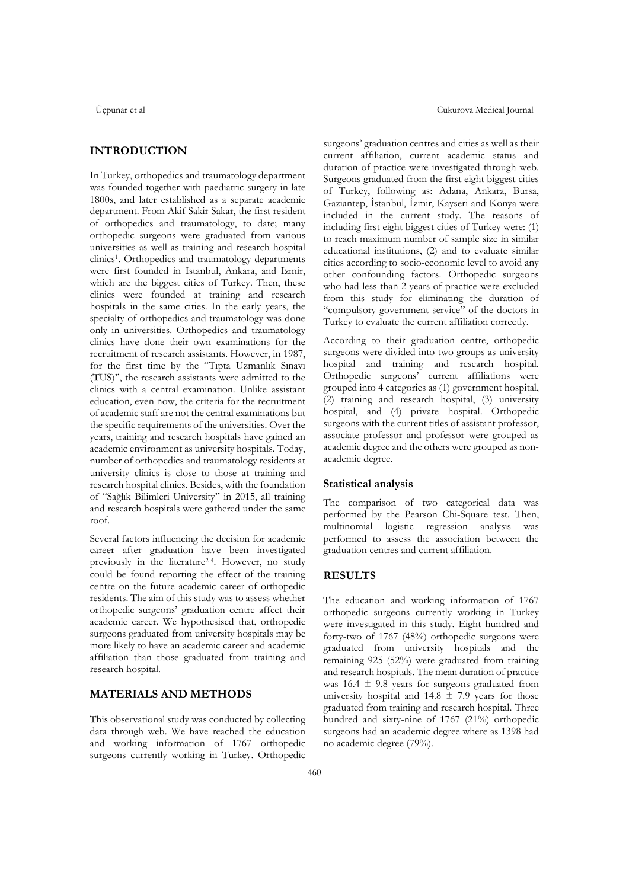#### INTRODUCTION

In Turkey, orthopedics and traumatology department was founded together with paediatric surgery in late 1800s, and later established as a separate academic department. From Akif Sakir Sakar, the first resident of orthopedics and traumatology, to date; many orthopedic surgeons were graduated from various universities as well as training and research hospital clinics<sup>1</sup>. Orthopedics and traumatology departments were first founded in Istanbul, Ankara, and Izmir, which are the biggest cities of Turkey. Then, these clinics were founded at training and research hospitals in the same cities. In the early years, the specialty of orthopedics and traumatology was done only in universities. Orthopedics and traumatology clinics have done their own examinations for the recruitment of research assistants. However, in 1987, for the first time by the "Tıpta Uzmanlık Sınavı (TUS)'', the research assistants were admitted to the clinics with a central examination. Unlike assistant education, even now, the criteria for the recruitment of academic staff are not the central examinations but the specific requirements of the universities. Over the years, training and research hospitals have gained an academic environment as university hospitals. Today, number of orthopedics and traumatology residents at university clinics is close to those at training and research hospital clinics. Besides, with the foundation of "Sağlık Bilimleri University" in 2015, all training and research hospitals were gathered under the same roof.

Several factors influencing the decision for academic career after graduation have been investigated previously in the literature2-4. However, no study could be found reporting the effect of the training centre on the future academic career of orthopedic residents. The aim of this study was to assess whether orthopedic surgeons' graduation centre affect their academic career. We hypothesised that, orthopedic surgeons graduated from university hospitals may be more likely to have an academic career and academic affiliation than those graduated from training and research hospital.

### MATERIALS AND METHODS

This observational study was conducted by collecting data through web. We have reached the education and working information of 1767 orthopedic surgeons currently working in Turkey. Orthopedic

surgeons' graduation centres and cities as well as their current affiliation, current academic status and duration of practice were investigated through web. Surgeons graduated from the first eight biggest cities of Turkey, following as: Adana, Ankara, Bursa, Gaziantep, İstanbul, İzmir, Kayseri and Konya were included in the current study. The reasons of including first eight biggest cities of Turkey were: (1) to reach maximum number of sample size in similar educational institutions, (2) and to evaluate similar cities according to socio-economic level to avoid any other confounding factors. Orthopedic surgeons who had less than 2 years of practice were excluded from this study for eliminating the duration of "compulsory government service" of the doctors in Turkey to evaluate the current affiliation correctly.

According to their graduation centre, orthopedic surgeons were divided into two groups as university hospital and training and research hospital. Orthopedic surgeons' current affiliations were grouped into 4 categories as (1) government hospital, (2) training and research hospital, (3) university hospital, and (4) private hospital. Orthopedic surgeons with the current titles of assistant professor, associate professor and professor were grouped as academic degree and the others were grouped as nonacademic degree.

#### Statistical analysis

The comparison of two categorical data was performed by the Pearson Chi-Square test. Then, multinomial logistic regression analysis was performed to assess the association between the graduation centres and current affiliation.

#### RESULTS

The education and working information of 1767 orthopedic surgeons currently working in Turkey were investigated in this study. Eight hundred and forty-two of 1767 (48%) orthopedic surgeons were graduated from university hospitals and the remaining 925 (52%) were graduated from training and research hospitals. The mean duration of practice was  $16.4 \pm 9.8$  years for surgeons graduated from university hospital and  $14.8 \pm 7.9$  years for those graduated from training and research hospital. Three hundred and sixty-nine of 1767 (21%) orthopedic surgeons had an academic degree where as 1398 had no academic degree (79%).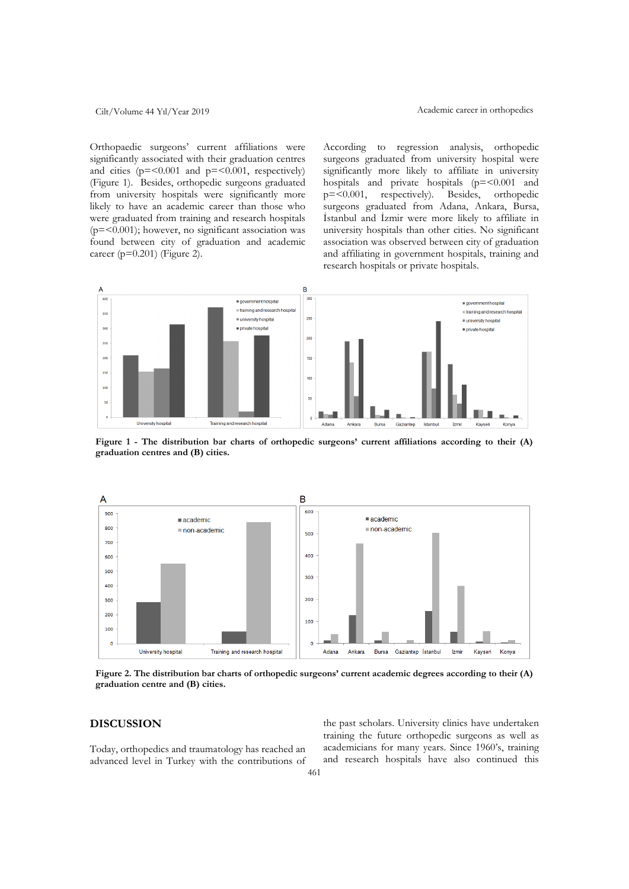Orthopaedic surgeons' current affiliations were significantly associated with their graduation centres and cities  $(p = 0.001$  and  $p = 0.001$ , respectively) (Figure 1). Besides, orthopedic surgeons graduated from university hospitals were significantly more likely to have an academic career than those who were graduated from training and research hospitals  $(p=0.001)$ ; however, no significant association was found between city of graduation and academic career ( $p=0.201$ ) (Figure 2).

According to regression analysis, orthopedic surgeons graduated from university hospital were significantly more likely to affiliate in university hospitals and private hospitals (p=<0.001 and p=<0.001, respectively). Besides, orthopedic surgeons graduated from Adana, Ankara, Bursa, İstanbul and İzmir were more likely to affiliate in university hospitals than other cities. No significant association was observed between city of graduation and affiliating in government hospitals, training and research hospitals or private hospitals.



Figure 1 - The distribution bar charts of orthopedic surgeons' current affiliations according to their (A) graduation centres and (B) cities.



Figure 2. The distribution bar charts of orthopedic surgeons' current academic degrees according to their (A) graduation centre and (B) cities.

### DISCUSSION

Today, orthopedics and traumatology has reached an advanced level in Turkey with the contributions of the past scholars. University clinics have undertaken training the future orthopedic surgeons as well as academicians for many years. Since 1960's, training and research hospitals have also continued this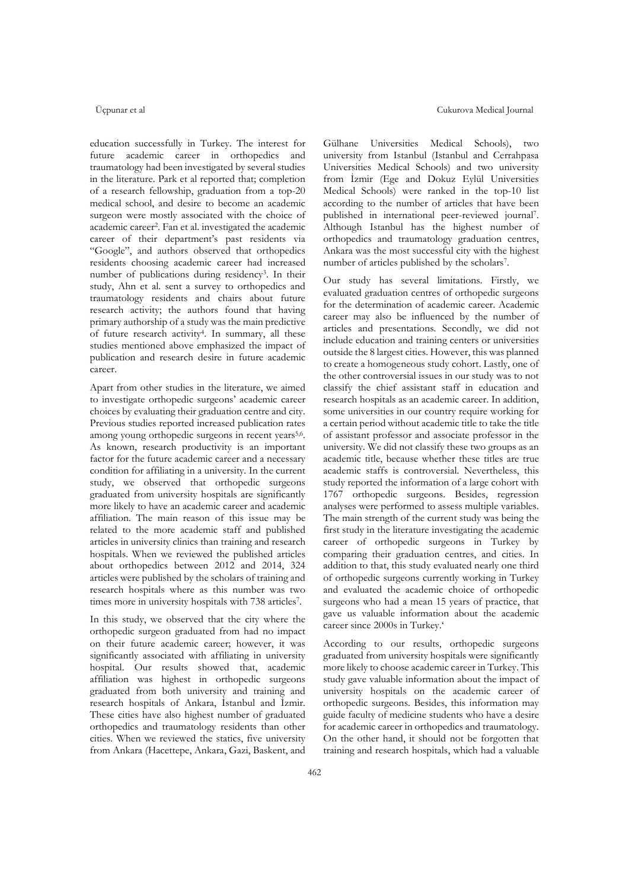education successfully in Turkey. The interest for future academic career in orthopedics and traumatology had been investigated by several studies in the literature. Park et al reported that; completion of a research fellowship, graduation from a top-20 medical school, and desire to become an academic surgeon were mostly associated with the choice of academic career2. Fan et al. investigated the academic career of their department's past residents via "Google", and authors observed that orthopedics residents choosing academic career had increased number of publications during residency<sup>3</sup>. In their study, Ahn et al. sent a survey to orthopedics and traumatology residents and chairs about future research activity; the authors found that having primary authorship of a study was the main predictive of future research activity4. In summary, all these studies mentioned above emphasized the impact of publication and research desire in future academic career.

Apart from other studies in the literature, we aimed to investigate orthopedic surgeons' academic career choices by evaluating their graduation centre and city. Previous studies reported increased publication rates among young orthopedic surgeons in recent years<sup>5,6</sup>. As known, research productivity is an important factor for the future academic career and a necessary condition for affiliating in a university. In the current study, we observed that orthopedic surgeons graduated from university hospitals are significantly more likely to have an academic career and academic affiliation. The main reason of this issue may be related to the more academic staff and published articles in university clinics than training and research hospitals. When we reviewed the published articles about orthopedics between 2012 and 2014, 324 articles were published by the scholars of training and research hospitals where as this number was two times more in university hospitals with 738 articles<sup>7</sup>.

In this study, we observed that the city where the orthopedic surgeon graduated from had no impact on their future academic career; however, it was significantly associated with affiliating in university hospital. Our results showed that, academic affiliation was highest in orthopedic surgeons graduated from both university and training and research hospitals of Ankara, İstanbul and İzmir. These cities have also highest number of graduated orthopedics and traumatology residents than other cities. When we reviewed the statics, five university from Ankara (Hacettepe, Ankara, Gazi, Baskent, and

Gülhane Universities Medical Schools), two university from Istanbul (Istanbul and Cerrahpasa Universities Medical Schools) and two university from İzmir (Ege and Dokuz Eylül Universities Medical Schools) were ranked in the top-10 list according to the number of articles that have been published in international peer-reviewed journal7. Although Istanbul has the highest number of orthopedics and traumatology graduation centres, Ankara was the most successful city with the highest number of articles published by the scholars7.

Our study has several limitations. Firstly, we evaluated graduation centres of orthopedic surgeons for the determination of academic career. Academic career may also be influenced by the number of articles and presentations. Secondly, we did not include education and training centers or universities outside the 8 largest cities. However, this was planned to create a homogeneous study cohort. Lastly, one of the other controversial issues in our study was to not classify the chief assistant staff in education and research hospitals as an academic career. In addition, some universities in our country require working for a certain period without academic title to take the title of assistant professor and associate professor in the university. We did not classify these two groups as an academic title, because whether these titles are true academic staffs is controversial. Nevertheless, this study reported the information of a large cohort with 1767 orthopedic surgeons. Besides, regression analyses were performed to assess multiple variables. The main strength of the current study was being the first study in the literature investigating the academic career of orthopedic surgeons in Turkey by comparing their graduation centres, and cities. In addition to that, this study evaluated nearly one third of orthopedic surgeons currently working in Turkey and evaluated the academic choice of orthopedic surgeons who had a mean 15 years of practice, that gave us valuable information about the academic career since 2000s in Turkey.'

According to our results, orthopedic surgeons graduated from university hospitals were significantly more likely to choose academic career in Turkey. This study gave valuable information about the impact of university hospitals on the academic career of orthopedic surgeons. Besides, this information may guide faculty of medicine students who have a desire for academic career in orthopedics and traumatology. On the other hand, it should not be forgotten that training and research hospitals, which had a valuable